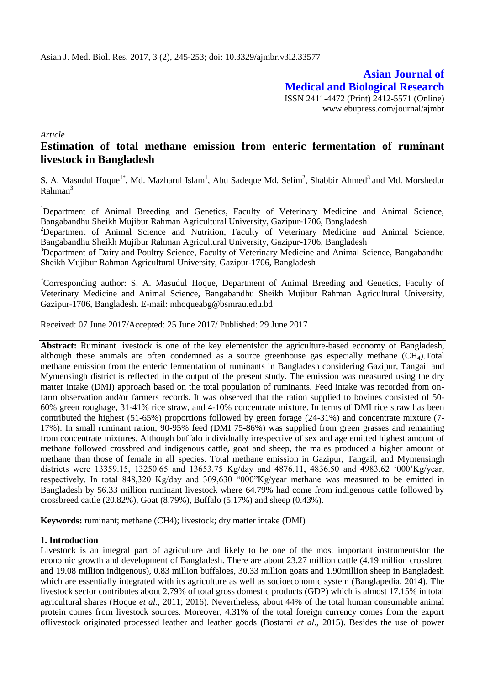**Asian Journal of Medical and Biological Research** ISSN 2411-4472 (Print) 2412-5571 (Online) www.ebupress.com/journal/ajmbr

*Article*

# **Estimation of total methane emission from enteric fermentation of ruminant livestock in Bangladesh**

S. A. Masudul Hoque<sup>1\*</sup>, Md. Mazharul Islam<sup>1</sup>, Abu Sadeque Md. Selim<sup>2</sup>, Shabbir Ahmed<sup>3</sup> and Md. Morshedur  $Rahman<sup>3</sup>$ 

<sup>1</sup>Department of Animal Breeding and Genetics, Faculty of Veterinary Medicine and Animal Science, Bangabandhu Sheikh Mujibur Rahman Agricultural University, Gazipur-1706, Bangladesh

<sup>2</sup>Department of Animal Science and Nutrition, Faculty of Veterinary Medicine and Animal Science, Bangabandhu Sheikh Mujibur Rahman Agricultural University, Gazipur-1706, Bangladesh

<sup>3</sup>Department of Dairy and Poultry Science, Faculty of Veterinary Medicine and Animal Science, Bangabandhu Sheikh Mujibur Rahman Agricultural University, Gazipur-1706, Bangladesh

\*Corresponding author: S. A. Masudul Hoque, Department of Animal Breeding and Genetics, Faculty of Veterinary Medicine and Animal Science, Bangabandhu Sheikh Mujibur Rahman Agricultural University, Gazipur-1706, Bangladesh. E-mail: mhoqueabg@bsmrau.edu.bd

Received: 07 June 2017/Accepted: 25 June 2017/ Published: 29 June 2017

**Abstract:** Ruminant livestock is one of the key elementsfor the agriculture-based economy of Bangladesh, although these animals are often condemned as a source greenhouse gas especially methane  $(CH<sub>4</sub>)$ . Total methane emission from the enteric fermentation of ruminants in Bangladesh considering Gazipur, Tangail and Mymensingh district is reflected in the output of the present study. The emission was measured using the dry matter intake (DMI) approach based on the total population of ruminants. Feed intake was recorded from onfarm observation and/or farmers records. It was observed that the ration supplied to bovines consisted of 50- 60% green roughage, 31-41% rice straw, and 4-10% concentrate mixture. In terms of DMI rice straw has been contributed the highest (51-65%) proportions followed by green forage (24-31%) and concentrate mixture (7- 17%). In small ruminant ration, 90-95% feed (DMI 75-86%) was supplied from green grasses and remaining from concentrate mixtures. Although buffalo individually irrespective of sex and age emitted highest amount of methane followed crossbred and indigenous cattle, goat and sheep, the males produced a higher amount of methane than those of female in all species. Total methane emission in Gazipur, Tangail, and Mymensingh districts were 13359.15, 13250.65 and 13653.75 Kg/day and 4876.11, 4836.50 and 4983.62 "000"Kg/year, respectively. In total 848,320 Kg/day and 309,630 "000"Kg/year methane was measured to be emitted in Bangladesh by 56.33 million ruminant livestock where 64.79% had come from indigenous cattle followed by crossbreed cattle (20.82%), Goat (8.79%), Buffalo (5.17%) and sheep (0.43%).

**Keywords:** ruminant; methane (CH4); livestock; dry matter intake (DMI)

# **1. Introduction**

Livestock is an integral part of agriculture and likely to be one of the most important instrumentsfor the economic growth and development of Bangladesh. There are about 23.27 million cattle (4.19 million crossbred and 19.08 million indigenous), 0.83 million buffaloes, 30.33 million goats and 1.90million sheep in Bangladesh which are essentially integrated with its agriculture as well as socioeconomic system (Banglapedia, 2014). The livestock sector contributes about 2.79% of total gross domestic products (GDP) which is almost 17.15% in total agricultural shares (Hoque *et al*., 2011; 2016). Nevertheless, about 44% of the total human consumable animal protein comes from livestock sources. Moreover, 4.31% of the total foreign currency comes from the export oflivestock originated processed leather and leather goods (Bostami *et al*., 2015). Besides the use of power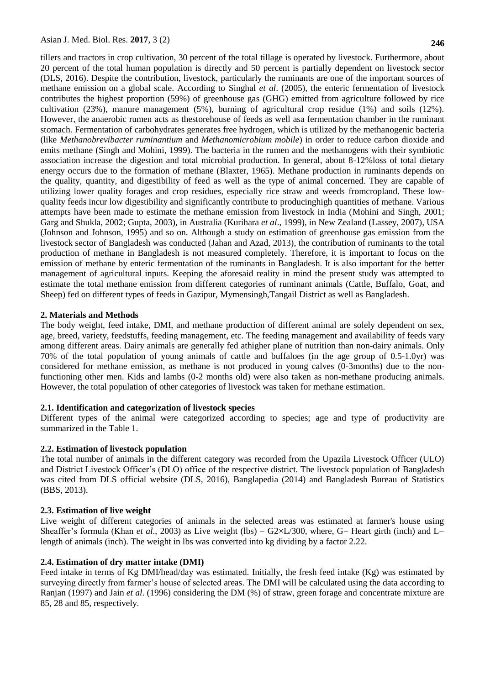tillers and tractors in crop cultivation, 30 percent of the total tillage is operated by livestock. Furthermore, about 20 percent of the total human population is directly and 50 percent is partially dependent on livestock sector (DLS, 2016). Despite the contribution, livestock, particularly the ruminants are one of the important sources of methane emission on a global scale. According to Singhal *et al*. (2005), the enteric fermentation of livestock contributes the highest proportion (59%) of greenhouse gas (GHG) emitted from agriculture followed by rice cultivation (23%), manure management (5%), burning of agricultural crop residue (1%) and soils (12%). However, the anaerobic rumen acts as thestorehouse of feeds as well asa fermentation chamber in the ruminant stomach. Fermentation of carbohydrates generates free hydrogen, which is utilized by the methanogenic bacteria (like *Methanobrevibacter ruminantium* and *Methanomicrobium mobile*) in order to reduce carbon dioxide and emits methane (Singh and Mohini, 1999). The bacteria in the rumen and the methanogens with their symbiotic association increase the digestion and total microbial production. In general, about 8-12%loss of total dietary energy occurs due to the formation of methane (Blaxter, 1965). Methane production in ruminants depends on the quality, quantity, and digestibility of feed as well as the type of animal concerned. They are capable of utilizing lower quality forages and crop residues, especially rice straw and weeds fromcropland. These lowquality feeds incur low digestibility and significantly contribute to producinghigh quantities of methane. Various attempts have been made to estimate the methane emission from livestock in India (Mohini and Singh, 2001; Garg and Shukla, 2002; Gupta, 2003), in Australia (Kurihara *et al*., 1999), in New Zealand (Lassey, 2007), USA (Johnson and Johnson, 1995) and so on. Although a study on estimation of greenhouse gas emission from the livestock sector of Bangladesh was conducted (Jahan and Azad, 2013), the contribution of ruminants to the total production of methane in Bangladesh is not measured completely. Therefore, it is important to focus on the emission of methane by enteric fermentation of the ruminants in Bangladesh. It is also important for the better management of agricultural inputs. Keeping the aforesaid reality in mind the present study was attempted to estimate the total methane emission from different categories of ruminant animals (Cattle, Buffalo, Goat, and Sheep) fed on different types of feeds in Gazipur, Mymensingh,Tangail District as well as Bangladesh.

#### **2. Materials and Methods**

The body weight, feed intake, DMI, and methane production of different animal are solely dependent on sex, age, breed, variety, feedstuffs, feeding management, etc. The feeding management and availability of feeds vary among different areas. Dairy animals are generally fed athigher plane of nutrition than non-dairy animals. Only 70% of the total population of young animals of cattle and buffaloes (in the age group of 0.5-1.0yr) was considered for methane emission, as methane is not produced in young calves (0-3months) due to the nonfunctioning other men. Kids and lambs (0-2 months old) were also taken as non-methane producing animals. However, the total population of other categories of livestock was taken for methane estimation.

#### **2.1. Identification and categorization of livestock species**

Different types of the animal were categorized according to species; age and type of productivity are summarized in the Table 1.

## **2.2. Estimation of livestock population**

The total number of animals in the different category was recorded from the Upazila Livestock Officer (ULO) and District Livestock Officer"s (DLO) office of the respective district. The livestock population of Bangladesh was cited from DLS official website (DLS, 2016), Banglapedia (2014) and Bangladesh Bureau of Statistics (BBS, 2013).

#### **2.3. Estimation of live weight**

Live weight of different categories of animals in the selected areas was estimated at farmer's house using Sheaffer's formula (Khan *et al.*, 2003) as Live weight (lbs) =  $G2 \times L/300$ , where, G= Heart girth (inch) and L= length of animals (inch). The weight in lbs was converted into kg dividing by a factor 2.22.

#### **2.4. Estimation of dry matter intake (DMI)**

Feed intake in terms of Kg DMI/head/day was estimated. Initially, the fresh feed intake (Kg) was estimated by surveying directly from farmer's house of selected areas. The DMI will be calculated using the data according to Ranjan (1997) and Jain *et al*. (1996) considering the DM (%) of straw, green forage and concentrate mixture are 85, 28 and 85, respectively.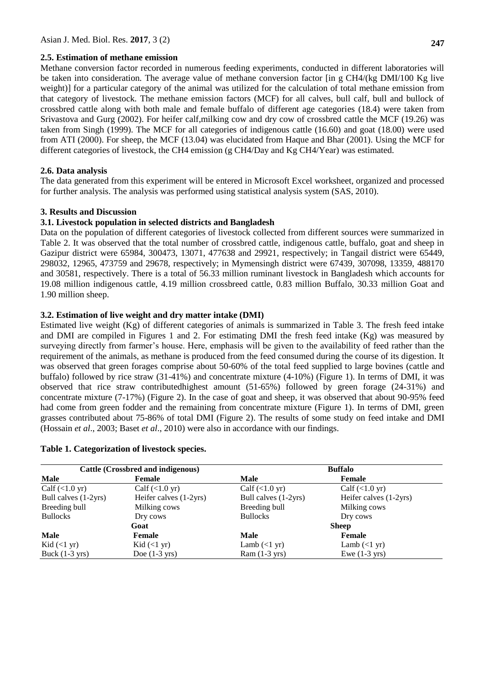## **2.5. Estimation of methane emission**

Methane conversion factor recorded in numerous feeding experiments, conducted in different laboratories will be taken into consideration. The average value of methane conversion factor [in g CH4/(kg DMI/100 Kg live weight)] for a particular category of the animal was utilized for the calculation of total methane emission from that category of livestock. The methane emission factors (MCF) for all calves, bull calf, bull and bullock of crossbred cattle along with both male and female buffalo of different age categories (18.4) were taken from Srivastova and Gurg (2002). For heifer calf,milking cow and dry cow of crossbred cattle the MCF (19.26) was taken from Singh (1999). The MCF for all categories of indigenous cattle (16.60) and goat (18.00) were used from ATI (2000). For sheep, the MCF (13.04) was elucidated from Haque and Bhar (2001). Using the MCF for different categories of livestock, the CH4 emission (g CH4/Day and Kg CH4/Year) was estimated.

# **2.6. Data analysis**

The data generated from this experiment will be entered in Microsoft Excel worksheet, organized and processed for further analysis. The analysis was performed using statistical analysis system (SAS, 2010).

# **3. Results and Discussion**

# **3.1. Livestock population in selected districts and Bangladesh**

Data on the population of different categories of livestock collected from different sources were summarized in Table 2. It was observed that the total number of crossbred cattle, indigenous cattle, buffalo, goat and sheep in Gazipur district were 65984, 300473, 13071, 477638 and 29921, respectively; in Tangail district were 65449, 298032, 12965, 473759 and 29678, respectively; in Mymensingh district were 67439, 307098, 13359, 488170 and 30581, respectively. There is a total of 56.33 million ruminant livestock in Bangladesh which accounts for 19.08 million indigenous cattle, 4.19 million crossbreed cattle, 0.83 million Buffalo, 30.33 million Goat and 1.90 million sheep.

# **3.2. Estimation of live weight and dry matter intake (DMI)**

Estimated live weight (Kg) of different categories of animals is summarized in Table 3. The fresh feed intake and DMI are compiled in Figures 1 and 2. For estimating DMI the fresh feed intake (Kg) was measured by surveying directly from farmer's house. Here, emphasis will be given to the availability of feed rather than the requirement of the animals, as methane is produced from the feed consumed during the course of its digestion. It was observed that green forages comprise about 50-60% of the total feed supplied to large bovines (cattle and buffalo) followed by rice straw (31-41%) and concentrate mixture (4-10%) (Figure 1). In terms of DMI, it was observed that rice straw contributedhighest amount (51-65%) followed by green forage (24-31%) and concentrate mixture (7-17%) (Figure 2). In the case of goat and sheep, it was observed that about 90-95% feed had come from green fodder and the remaining from concentrate mixture (Figure 1). In terms of DMI, green grasses contributed about 75-86% of total DMI (Figure 2). The results of some study on feed intake and DMI (Hossain *et al*., 2003; Baset *et al*., 2010) were also in accordance with our findings.

# **Table 1. Categorization of livestock species.**

| Cattle (Crossbred and indigenous) |                          | <b>Buffalo</b>                |                                |  |
|-----------------------------------|--------------------------|-------------------------------|--------------------------------|--|
| Male                              | Female                   | Male                          | Female                         |  |
| Calf $(<1.0 \text{ yr})$          | Calf $(<1.0 \text{ yr})$ | $Calf (\leq 1.0 yr)$          | $Calf \left( <1.0 \right)$ yr) |  |
| Bull calves (1-2yrs)              | Heifer calves (1-2yrs)   | Bull calves (1-2yrs)          | Heifer calves (1-2yrs)         |  |
| Breeding bull                     | Milking cows             | Breeding bull                 | Milking cows                   |  |
| <b>Bullocks</b>                   | Dry cows                 | <b>Bullocks</b>               | Dry cows                       |  |
|                                   | Goat                     | <b>Sheep</b>                  |                                |  |
| Male                              | <b>Female</b>            | Male                          | Female                         |  |
| Kid $(\langle 1 \text{ yr})$      | Kid $(\leq 1$ yr)        | Lamb $(\langle 1 \text{ yr})$ | Lamb $(\leq 1$ yr)             |  |
| Buck $(1-3 \text{ yrs})$          | Doe $(1-3 \text{ yrs})$  | $Ram(1-3 yrs)$                | Ewe $(1-3$ yrs)                |  |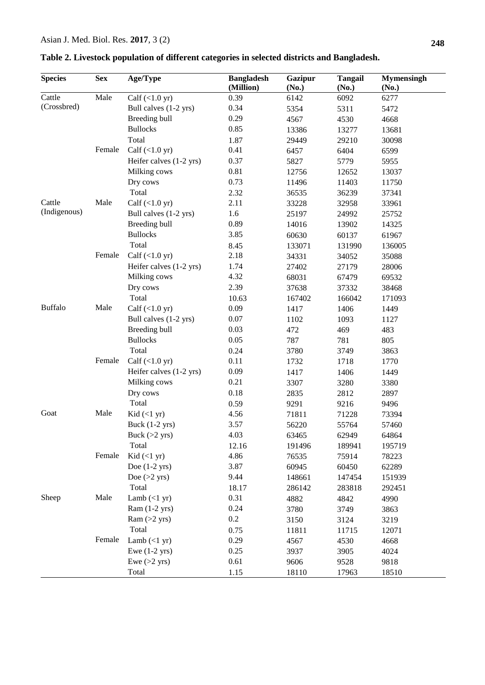| <b>Species</b> | <b>Sex</b>                                                                    | Age/Type                        | <b>Bangladesh</b><br>(Million) | <b>Gazipur</b><br>(No.)                                                                                                                                                                                                                              | <b>Tangail</b><br>(No.) | <b>Mymensingh</b><br>(No.) |
|----------------|-------------------------------------------------------------------------------|---------------------------------|--------------------------------|------------------------------------------------------------------------------------------------------------------------------------------------------------------------------------------------------------------------------------------------------|-------------------------|----------------------------|
| Cattle         | Male                                                                          | Calf $(\langle 1.0 \text{ yr})$ | 0.39                           | 6142                                                                                                                                                                                                                                                 | 6092                    | 6277                       |
| (Crossbred)    |                                                                               | Bull calves (1-2 yrs)           | 0.34                           | 5354                                                                                                                                                                                                                                                 | 5311                    | 5472                       |
|                |                                                                               | Breeding bull                   | 0.29                           | 4567                                                                                                                                                                                                                                                 | 4530                    | 4668                       |
|                |                                                                               | <b>Bullocks</b>                 | 0.85                           | 13386                                                                                                                                                                                                                                                | 13277                   | 13681                      |
|                |                                                                               | Total                           | 1.87                           | 29449                                                                                                                                                                                                                                                | 29210                   | 30098                      |
|                | Female                                                                        | Calf $(<1.0 \text{ yr})$        | 0.41                           | 6457                                                                                                                                                                                                                                                 | 6404                    | 6599                       |
|                |                                                                               | Heifer calves (1-2 yrs)         | 0.37                           | 5827                                                                                                                                                                                                                                                 | 5779                    | 5955                       |
|                |                                                                               | Milking cows                    | 0.81                           | 12756                                                                                                                                                                                                                                                | 12652                   | 13037                      |
|                |                                                                               | Dry cows                        | 0.73                           | 11496                                                                                                                                                                                                                                                | 11403                   | 11750                      |
|                |                                                                               | Total                           | 2.32                           | 36535                                                                                                                                                                                                                                                | 36239                   | 37341                      |
| Cattle         | Male                                                                          | Calf $(<1.0 \text{ yr})$        | 2.11                           | 33228                                                                                                                                                                                                                                                | 32958                   | 33961                      |
| (Indigenous)   |                                                                               | Bull calves (1-2 yrs)           | 1.6                            | 25197                                                                                                                                                                                                                                                | 24992                   | 25752                      |
|                |                                                                               | Breeding bull                   | 0.89                           | 14016                                                                                                                                                                                                                                                | 13902                   | 14325                      |
|                |                                                                               | <b>Bullocks</b>                 | 3.85                           | 60630                                                                                                                                                                                                                                                | 60137                   | 61967                      |
|                |                                                                               |                                 | 8.45                           | 133071                                                                                                                                                                                                                                               | 131990                  | 136005                     |
|                | Female                                                                        | Calf $(<1.0 \text{ yr})$        | 2.18                           | 34331                                                                                                                                                                                                                                                | 34052                   | 35088                      |
|                |                                                                               | Heifer calves (1-2 yrs)         | 1.74                           | 27402                                                                                                                                                                                                                                                | 27179                   | 28006                      |
|                |                                                                               | Milking cows                    | 4.32                           |                                                                                                                                                                                                                                                      |                         | 69532                      |
|                |                                                                               | Dry cows                        | 2.39                           |                                                                                                                                                                                                                                                      |                         | 38468                      |
|                |                                                                               |                                 | 10.63                          |                                                                                                                                                                                                                                                      |                         | 171093                     |
| <b>Buffalo</b> |                                                                               | Calf $(<1.0$ yr)                | 0.09                           |                                                                                                                                                                                                                                                      |                         | 1449                       |
|                |                                                                               | Bull calves (1-2 yrs)           | 0.07                           |                                                                                                                                                                                                                                                      |                         | 1127                       |
|                | Total<br>Total<br>Male<br>Total<br>Female<br>Total<br>Male<br>Total<br>Female | Breeding bull                   | 0.03                           |                                                                                                                                                                                                                                                      |                         | 483                        |
|                |                                                                               | <b>Bullocks</b>                 | 0.05                           |                                                                                                                                                                                                                                                      |                         | 805                        |
|                |                                                                               |                                 | 0.24                           |                                                                                                                                                                                                                                                      |                         | 3863                       |
|                |                                                                               | Calf $(<1.0 \text{ yr})$        | 0.11                           |                                                                                                                                                                                                                                                      |                         | 1770                       |
|                |                                                                               | Heifer calves (1-2 yrs)         | 0.09                           | 68031<br>67479<br>37638<br>37332<br>167402<br>166042<br>1406<br>1417<br>1102<br>1093<br>472<br>469<br>787<br>781<br>3780<br>3749<br>1732<br>1718<br>1406<br>1417<br>3307<br>3280<br>2835<br>2812<br>9216<br>9291<br>71811<br>71228<br>56220<br>55764 |                         | 1449                       |
|                |                                                                               | Milking cows                    | 0.21                           |                                                                                                                                                                                                                                                      |                         | 3380                       |
|                |                                                                               | Dry cows                        | 0.18                           |                                                                                                                                                                                                                                                      |                         | 2897                       |
|                |                                                                               |                                 | 0.59                           |                                                                                                                                                                                                                                                      |                         | 9496                       |
| Goat           |                                                                               | Kid $(<1$ yr)                   | 4.56                           |                                                                                                                                                                                                                                                      |                         | 73394                      |
|                |                                                                               | Buck $(1-2$ yrs)                | 3.57                           |                                                                                                                                                                                                                                                      |                         | 57460                      |
|                |                                                                               | Buck $(>2$ yrs)                 | 4.03                           | 63465                                                                                                                                                                                                                                                | 62949                   | 64864                      |
|                |                                                                               |                                 | 12.16                          | 191496                                                                                                                                                                                                                                               | 189941                  | 195719                     |
|                |                                                                               | Kid $(<1$ yr)                   | 4.86                           | 76535                                                                                                                                                                                                                                                | 75914                   | 78223                      |
|                |                                                                               | Doe $(1-2$ yrs)                 | 3.87                           |                                                                                                                                                                                                                                                      |                         |                            |
|                |                                                                               | Doe $(>2$ yrs)                  | 9.44                           | 60945                                                                                                                                                                                                                                                | 60450                   | 62289<br>151939            |
|                |                                                                               | Total                           |                                | 148661                                                                                                                                                                                                                                               | 147454                  |                            |
| Sheep          | Male                                                                          | Lamb $(<1$ yr)                  | 18.17                          | 286142                                                                                                                                                                                                                                               | 283818                  | 292451                     |
|                |                                                                               |                                 | 0.31                           | 4882                                                                                                                                                                                                                                                 | 4842                    | 4990                       |
|                |                                                                               | Ram $(1-2$ yrs)                 | 0.24                           | 3780                                                                                                                                                                                                                                                 | 3749                    | 3863                       |
|                |                                                                               | Ram $(>2$ yrs)                  | 0.2                            | 3150                                                                                                                                                                                                                                                 | 3124                    | 3219                       |
|                |                                                                               | Total                           | 0.75                           | 11811                                                                                                                                                                                                                                                | 11715                   | 12071                      |
|                | Female                                                                        | Lamb $(\langle 1 \text{ yr})$   | 0.29                           | 4567                                                                                                                                                                                                                                                 | 4530                    | 4668                       |
|                |                                                                               | Ewe $(1-2$ yrs)                 | 0.25                           | 3937                                                                                                                                                                                                                                                 | 3905                    | 4024                       |
|                |                                                                               | Ewe $(>2$ yrs)                  | 0.61                           | 9606                                                                                                                                                                                                                                                 | 9528                    | 9818                       |
|                |                                                                               | Total                           | 1.15                           | 18110                                                                                                                                                                                                                                                | 17963                   | 18510                      |

**Table 2. Livestock population of different categories in selected districts and Bangladesh.**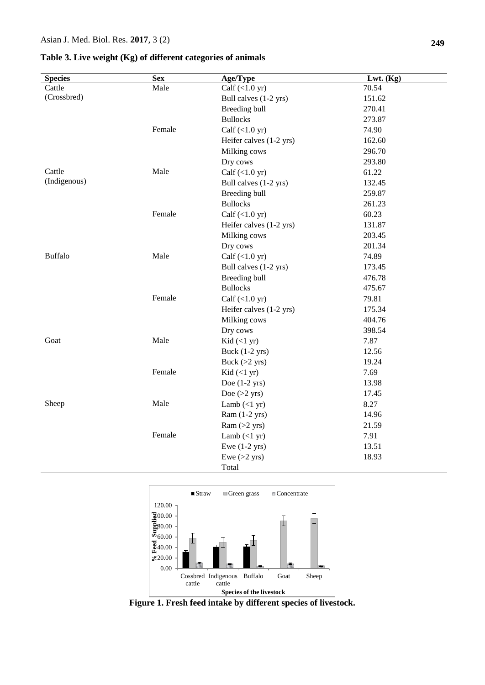### **Table 3. Live weight (Kg) of different categories of animals**

| <b>Species</b> | <b>Sex</b> | Age/Type                      | Lwt. (Kg) |
|----------------|------------|-------------------------------|-----------|
| Cattle         | Male       | Calf $(<1.0 \text{ yr})$      | 70.54     |
| (Crossbred)    |            | Bull calves (1-2 yrs)         | 151.62    |
|                |            | Breeding bull                 | 270.41    |
|                |            | <b>Bullocks</b>               | 273.87    |
|                | Female     | Calf $(<1.0 \text{ yr})$      | 74.90     |
|                |            | Heifer calves (1-2 yrs)       | 162.60    |
|                |            | Milking cows                  | 296.70    |
|                |            | Dry cows                      | 293.80    |
| Cattle         | Male       | Calf $(<1.0 \text{ yr})$      | 61.22     |
| (Indigenous)   |            | Bull calves (1-2 yrs)         | 132.45    |
|                |            | Breeding bull                 | 259.87    |
|                |            | <b>Bullocks</b>               | 261.23    |
|                | Female     | Calf $(<1.0 \text{ yr})$      | 60.23     |
|                |            | Heifer calves (1-2 yrs)       | 131.87    |
|                |            | Milking cows                  | 203.45    |
|                |            | Dry cows                      | 201.34    |
| <b>Buffalo</b> | Male       | Calf $(<1.0 \text{ yr})$      | 74.89     |
|                |            | Bull calves (1-2 yrs)         | 173.45    |
|                |            | Breeding bull                 | 476.78    |
|                |            | <b>Bullocks</b>               | 475.67    |
|                | Female     | Calf $(<1.0 \text{ yr})$      | 79.81     |
|                |            | Heifer calves (1-2 yrs)       | 175.34    |
|                |            | Milking cows                  | 404.76    |
|                |            | Dry cows                      | 398.54    |
| Goat           | Male       | Kid $(<1$ yr)                 | 7.87      |
|                |            | Buck $(1-2$ yrs)              | 12.56     |
|                |            | Buck $(>2$ yrs)               | 19.24     |
|                | Female     | Kid $(<1$ yr)                 | 7.69      |
|                |            | Doe $(1-2$ yrs)               | 13.98     |
|                |            | Doe $(>2$ yrs)                | 17.45     |
| Sheep          | Male       | Lamb $(\langle 1 \text{ yr})$ | 8.27      |
|                |            | Ram $(1-2$ yrs)               | 14.96     |
|                |            | $Ram (>2$ yrs)                | 21.59     |
|                | Female     | Lamb $(\langle 1 \text{ yr})$ | 7.91      |
|                |            | Ewe $(1-2$ yrs)               | 13.51     |
|                |            | Ewe $(>2$ yrs)                | 18.93     |
|                |            | Total                         |           |



**Figure 1. Fresh feed intake by different species of livestock.**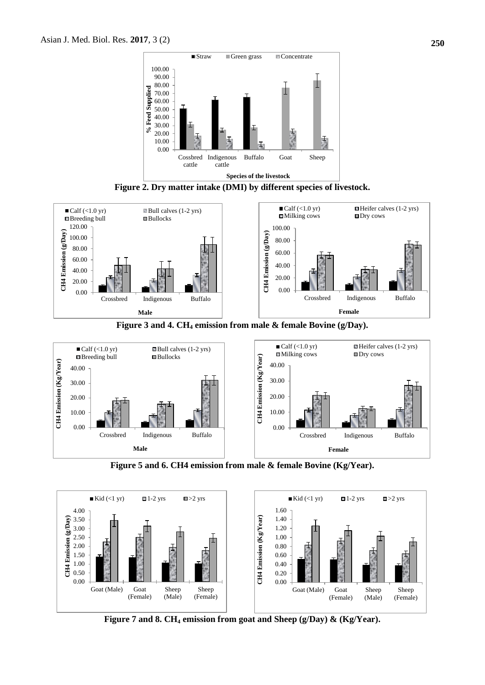

**Figure 2. Dry matter intake (DMI) by different species of livestock.**







**Figure 5 and 6. CH4 emission from male & female Bovine (Kg/Year).**



**Figure 7 and 8. CH<sup>4</sup> emission from goat and Sheep (g/Day) & (Kg/Year).**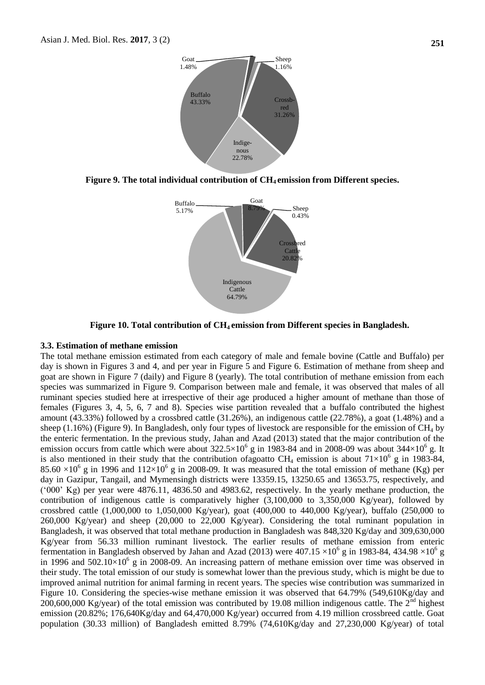

**Figure 9. The total individual contribution of CH4 emission from Different species.**



**Figure 10. Total contribution of CH4 emission from Different species in Bangladesh.**

#### **3.3. Estimation of methane emission**

The total methane emission estimated from each category of male and female bovine (Cattle and Buffalo) per day is shown in Figures 3 and 4, and per year in Figure 5 and Figure 6. Estimation of methane from sheep and goat are shown in Figure 7 (daily) and Figure 8 (yearly). The total contribution of methane emission from each species was summarized in Figure 9. Comparison between male and female, it was observed that males of all ruminant species studied here at irrespective of their age produced a higher amount of methane than those of females (Figures 3, 4, 5, 6, 7 and 8). Species wise partition revealed that a buffalo contributed the highest amount (43.33%) followed by a crossbred cattle (31.26%), an indigenous cattle (22.78%), a goat (1.48%) and a sheep (1.16%) (Figure 9). In Bangladesh, only four types of livestock are responsible for the emission of  $CH_4$  by the enteric fermentation. In the previous study, Jahan and Azad (2013) stated that the major contribution of the emission occurs from cattle which were about  $322.5 \times 10^6$  g in 1983-84 and in 2008-09 was about  $344 \times 10^6$  g. It is also mentioned in their study that the contribution of agoatto CH<sub>4</sub> emission is about  $71\times10^6$  g in 1983-84, 85.60  $\times$ 10<sup>6</sup> g in 1996 and 112 $\times$ 10<sup>6</sup> g in 2008-09. It was measured that the total emission of methane (Kg) per day in Gazipur, Tangail, and Mymensingh districts were 13359.15, 13250.65 and 13653.75, respectively, and ("000" Kg) per year were 4876.11, 4836.50 and 4983.62, respectively. In the yearly methane production, the contribution of indigenous cattle is comparatively higher (3,100,000 to 3,350,000 Kg/year), followed by crossbred cattle (1,000,000 to 1,050,000 Kg/year), goat (400,000 to 440,000 Kg/year), buffalo (250,000 to 260,000 Kg/year) and sheep (20,000 to 22,000 Kg/year). Considering the total ruminant population in Bangladesh, it was observed that total methane production in Bangladesh was 848,320 Kg/day and 309,630,000 Kg/year from 56.33 million ruminant livestock. The earlier results of methane emission from enteric fermentation in Bangladesh observed by Jahan and Azad (2013) were  $407.15 \times 10^6$  g in 1983-84, 434.98  $\times 10^6$  g in 1996 and  $502.10\times10^{6}$  g in 2008-09. An increasing pattern of methane emission over time was observed in their study. The total emission of our study is somewhat lower than the previous study, which is might be due to improved animal nutrition for animal farming in recent years. The species wise contribution was summarized in Figure 10. Considering the species-wise methane emission it was observed that 64.79% (549,610Kg/day and 200,600,000 Kg/year) of the total emission was contributed by 19.08 million indigenous cattle. The  $2<sup>nd</sup>$  highest emission (20.82%; 176,640Kg/day and 64,470,000 Kg/year) occurred from 4.19 million crossbreed cattle. Goat population (30.33 million) of Bangladesh emitted 8.79% (74,610Kg/day and 27,230,000 Kg/year) of total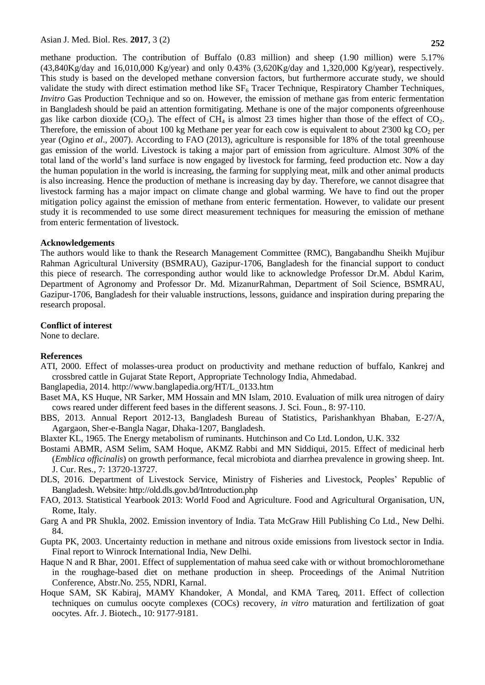methane production. The contribution of Buffalo (0.83 million) and sheep (1.90 million) were 5.17%  $(43,840\text{Kg/day}$  and  $16,010,000$  Kg/year) and only 0.43%  $(3.620\text{Kg/day}$  and  $1.320,000$  Kg/year), respectively. This study is based on the developed methane conversion factors, but furthermore accurate study, we should validate the study with direct estimation method like  $SF<sub>6</sub>$  Tracer Technique, Respiratory Chamber Techniques, *Invitro* Gas Production Technique and so on. However, the emission of methane gas from enteric fermentation in Bangladesh should be paid an attention formitigating. Methane is one of the major components ofgreenhouse gas like carbon dioxide  $(CO_2)$ . The effect of CH<sub>4</sub> is almost 23 times higher than those of the effect of CO<sub>2</sub>. Therefore, the emission of about 100 kg Methane per year for each cow is equivalent to about 2'300 kg  $CO<sub>2</sub>$  per year (Ogino *et al*., 2007). According to FAO (2013), agriculture is responsible for 18% of the total greenhouse gas emission of the world. Livestock is taking a major part of emission from agriculture. Almost 30% of the total land of the world"s land surface is now engaged by livestock for farming, feed production etc. Now a day the human population in the world is increasing, the farming for supplying meat, milk and other animal products is also increasing. Hence the production of methane is increasing day by day. Therefore, we cannot disagree that livestock farming has a major impact on climate change and global warming. We have to find out the proper mitigation policy against the emission of methane from enteric fermentation. However, to validate our present study it is recommended to use some direct measurement techniques for measuring the emission of methane from enteric fermentation of livestock.

#### **Acknowledgements**

The authors would like to thank the Research Management Committee (RMC), Bangabandhu Sheikh Mujibur Rahman Agricultural University (BSMRAU), Gazipur-1706, Bangladesh for the financial support to conduct this piece of research. The corresponding author would like to acknowledge Professor Dr.M. Abdul Karim, Department of Agronomy and Professor Dr. Md. MizanurRahman, Department of Soil Science, BSMRAU, Gazipur-1706, Bangladesh for their valuable instructions, lessons, guidance and inspiration during preparing the research proposal.

## **Conflict of interest**

None to declare.

# **References**

ATI, 2000. Effect of molasses-urea product on productivity and methane reduction of buffalo, Kankrej and crossbred cattle in Gujarat State Report, Appropriate Technology India, Ahmedabad.

Banglapedia, 2014. http://www.banglapedia.org/HT/L\_0133.htm

- Baset MA, KS Huque, NR Sarker, MM Hossain and MN Islam, 2010. Evaluation of milk urea nitrogen of dairy cows reared under different feed bases in the different seasons. J. Sci. Foun., 8: 97-110.
- BBS, 2013. Annual Report 2012-13, Bangladesh Bureau of Statistics, Parishankhyan Bhaban, E-27/A, Agargaon, Sher-e-Bangla Nagar, Dhaka-1207, Bangladesh.
- Blaxter KL, 1965. The Energy metabolism of ruminants. Hutchinson and Co Ltd. London, U.K. 332
- Bostami ABMR, ASM Selim, SAM Hoque, AKMZ Rabbi and MN Siddiqui, 2015. Effect of medicinal herb (*Emblica officinalis*) on growth performance, fecal microbiota and diarrhea prevalence in growing sheep. Int. J. Cur. Res., 7: 13720-13727.
- DLS, 2016. Department of Livestock Service, Ministry of Fisheries and Livestock, Peoples" Republic of Bangladesh. Website: http://old.dls.gov.bd/Introduction.php
- FAO, 2013. Statistical Yearbook 2013: World Food and Agriculture. Food and Agricultural Organisation, UN, Rome, Italy.
- Garg A and PR Shukla, 2002. Emission inventory of India. Tata McGraw Hill Publishing Co Ltd., New Delhi. 84.
- Gupta PK, 2003. Uncertainty reduction in methane and nitrous oxide emissions from livestock sector in India. Final report to Winrock International India, New Delhi.
- Haque N and R Bhar, 2001. Effect of supplementation of mahua seed cake with or without bromochloromethane in the roughage-based diet on methane production in sheep. Proceedings of the Animal Nutrition Conference, Abstr.No. 255, NDRI, Karnal.
- Hoque SAM, SK Kabiraj, MAMY Khandoker, A Mondal, and KMA Tareq, 2011. Effect of collection techniques on cumulus oocyte complexes (COCs) recovery, *in vitro* maturation and fertilization of goat oocytes. Afr. J. Biotech., 10: 9177-9181.